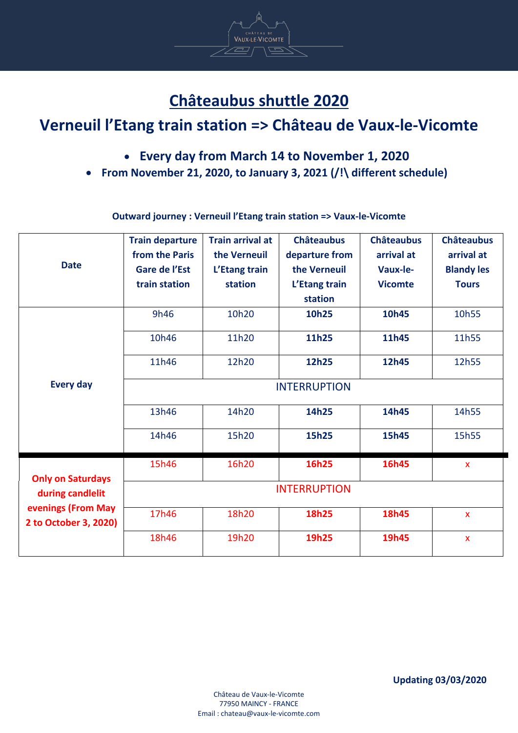# **Châteaubus shuttle 2020**

VAUX-LE-VICOMTE

 $\overline{\frown}$ 

# **Verneuil l'Etang train station => Château de Vaux-le-Vicomte**

- **Every day from March 14 to November 1, 2020**
- **From November 21, 2020, to January 3, 2021 (/!\ different schedule)**

| <b>Date</b>                                                                                 | <b>Train departure</b><br>from the Paris<br>Gare de l'Est<br>train station | <b>Train arrival at</b><br>the Verneuil<br>L'Etang train<br>station | <b>Châteaubus</b><br>departure from<br>the Verneuil<br>L'Etang train<br>station | <b>Châteaubus</b><br>arrival at<br>Vaux-le-<br><b>Vicomte</b> | <b>Châteaubus</b><br>arrival at<br><b>Blandy les</b><br><b>Tours</b> |  |  |
|---------------------------------------------------------------------------------------------|----------------------------------------------------------------------------|---------------------------------------------------------------------|---------------------------------------------------------------------------------|---------------------------------------------------------------|----------------------------------------------------------------------|--|--|
|                                                                                             | 9h46                                                                       | 10h20                                                               | 10h25                                                                           | 10h45                                                         | 10h55                                                                |  |  |
|                                                                                             | 10h46                                                                      | 11h20                                                               | 11h25                                                                           | 11h45                                                         | 11h55                                                                |  |  |
|                                                                                             | 11h46                                                                      | 12h20                                                               | 12h25                                                                           | 12h45                                                         | 12h55                                                                |  |  |
| <b>Every day</b>                                                                            | <b>INTERRUPTION</b>                                                        |                                                                     |                                                                                 |                                                               |                                                                      |  |  |
|                                                                                             | 13h46                                                                      | 14h20                                                               | 14h25                                                                           | 14h45                                                         | 14h55                                                                |  |  |
|                                                                                             | 14h46                                                                      | 15h20                                                               | 15h25                                                                           | 15h45                                                         | 15h55                                                                |  |  |
| <b>Only on Saturdays</b><br>during candlelit<br>evenings (From May<br>2 to October 3, 2020) | 15h46                                                                      | 16h20                                                               | 16h25                                                                           | 16h45                                                         | $\pmb{\mathsf{X}}$                                                   |  |  |
|                                                                                             | <b>INTERRUPTION</b>                                                        |                                                                     |                                                                                 |                                                               |                                                                      |  |  |
|                                                                                             | 17h46                                                                      | 18h20                                                               | 18h25                                                                           | 18h45                                                         | $\mathbf{x}$                                                         |  |  |
|                                                                                             | 18h46                                                                      | 19h20                                                               | 19h25                                                                           | 19h45                                                         | $\mathsf{x}$                                                         |  |  |

### **Outward journey : Verneuil l'Etang train station => Vaux-le-Vicomte**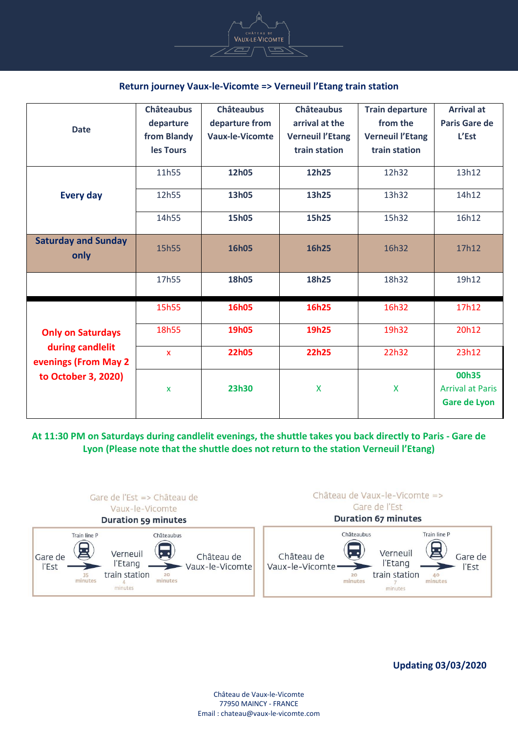

### **Return journey Vaux-le-Vicomte => Verneuil l'Etang train station**

| <b>Date</b>                                                                                 | <b>Châteaubus</b> | <b>Châteaubus</b>      | <b>Châteaubus</b>       | <b>Train departure</b>  | <b>Arrival at</b>                                       |
|---------------------------------------------------------------------------------------------|-------------------|------------------------|-------------------------|-------------------------|---------------------------------------------------------|
|                                                                                             | departure         | departure from         | arrival at the          | from the                | <b>Paris Gare de</b>                                    |
|                                                                                             | from Blandy       | <b>Vaux-le-Vicomte</b> | <b>Verneuil l'Etang</b> | <b>Verneuil l'Etang</b> | L'Est                                                   |
|                                                                                             | les Tours         |                        | train station           | train station           |                                                         |
| <b>Every day</b>                                                                            | 11h55             | 12h05                  | 12h25                   | 12h32                   | 13h12                                                   |
|                                                                                             | 12h55             | 13h05                  | 13h25                   | 13h32                   | 14h12                                                   |
|                                                                                             | 14h55             | 15h05                  | 15h25                   | 15h32                   | 16h12                                                   |
| <b>Saturday and Sunday</b><br>only                                                          | 15h55             | 16h05                  | 16h25                   | 16h32                   | 17h12                                                   |
|                                                                                             | 17h55             | 18h05                  | 18h25                   | 18h32                   | 19h12                                                   |
| <b>Only on Saturdays</b><br>during candlelit<br>evenings (From May 2<br>to October 3, 2020) | 15h55             | 16h05                  | 16h25                   | 16h32                   | 17h12                                                   |
|                                                                                             | 18h55             | <b>19h05</b>           | 19h25                   | 19h32                   | 20h12                                                   |
|                                                                                             | $\mathbf{x}$      | <b>22h05</b>           | <b>22h25</b>            | 22h32                   | 23h12                                                   |
|                                                                                             | X                 | 23h30                  | X                       | X                       | 00h35<br><b>Arrival at Paris</b><br><b>Gare de Lyon</b> |

**At 11:30 PM on Saturdays during candlelit evenings, the shuttle takes you back directly to Paris - Gare de Lyon (Please note that the shuttle does not return to the station Verneuil l'Etang)**



**Updating 03/03/2020**